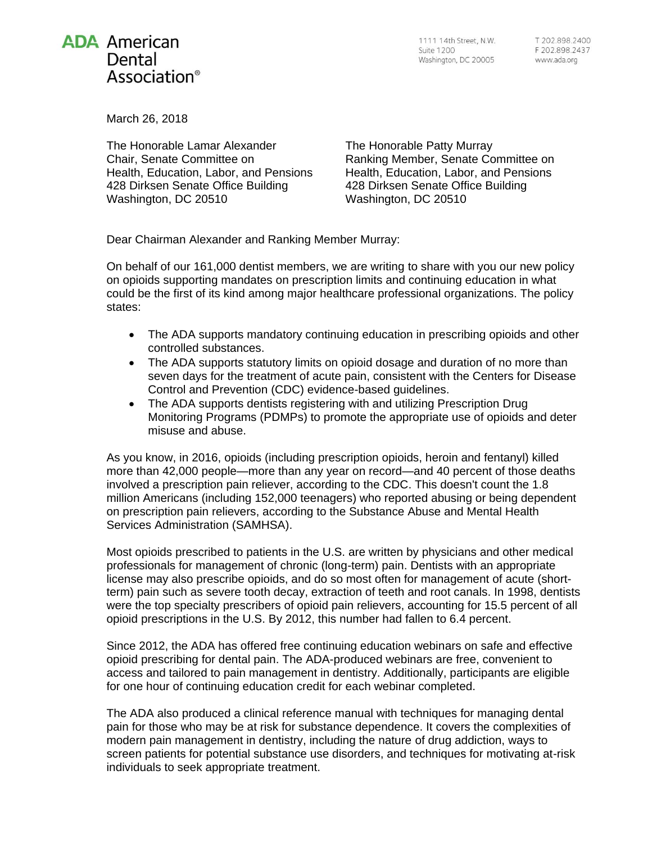

1111 14th Street, N.W. **Suite 1200** Washington, DC 20005

March 26, 2018

The Honorable Lamar Alexander Chair, Senate Committee on Health, Education, Labor, and Pensions 428 Dirksen Senate Office Building Washington, DC 20510

The Honorable Patty Murray Ranking Member, Senate Committee on Health, Education, Labor, and Pensions 428 Dirksen Senate Office Building Washington, DC 20510

Dear Chairman Alexander and Ranking Member Murray:

On behalf of our 161,000 dentist members, we are writing to share with you our new policy on opioids supporting mandates on prescription limits and continuing education in what could be the first of its kind among major healthcare professional organizations. The policy states:

- The ADA supports mandatory continuing education in prescribing opioids and other controlled substances.
- The ADA supports statutory limits on opioid dosage and duration of no more than seven days for the treatment of acute pain, consistent with the Centers for Disease Control and Prevention (CDC) evidence-based guidelines.
- The ADA supports dentists registering with and utilizing Prescription Drug Monitoring Programs (PDMPs) to promote the appropriate use of opioids and deter misuse and abuse.

As you know, in 2016, opioids (including prescription opioids, heroin and fentanyl) killed more than 42,000 people—more than any year on record—and 40 percent of those deaths involved a prescription pain reliever, according to the CDC. This doesn't count the 1.8 million Americans (including 152,000 teenagers) who reported abusing or being dependent on prescription pain relievers, according to the Substance Abuse and Mental Health Services Administration (SAMHSA).

Most opioids prescribed to patients in the U.S. are written by physicians and other medical professionals for management of chronic (long-term) pain. Dentists with an appropriate license may also prescribe opioids, and do so most often for management of acute (shortterm) pain such as severe tooth decay, extraction of teeth and root canals. In 1998, dentists were the top specialty prescribers of opioid pain relievers, accounting for 15.5 percent of all opioid prescriptions in the U.S. By 2012, this number had fallen to 6.4 percent.

Since 2012, the ADA has offered free continuing education webinars on safe and effective opioid prescribing for dental pain. The ADA-produced webinars are free, convenient to access and tailored to pain management in dentistry. Additionally, participants are eligible for one hour of continuing education credit for each webinar completed.

The ADA also produced a clinical reference manual with techniques for managing dental pain for those who may be at risk for substance dependence. It covers the complexities of modern pain management in dentistry, including the nature of drug addiction, ways to screen patients for potential substance use disorders, and techniques for motivating at-risk individuals to seek appropriate treatment.